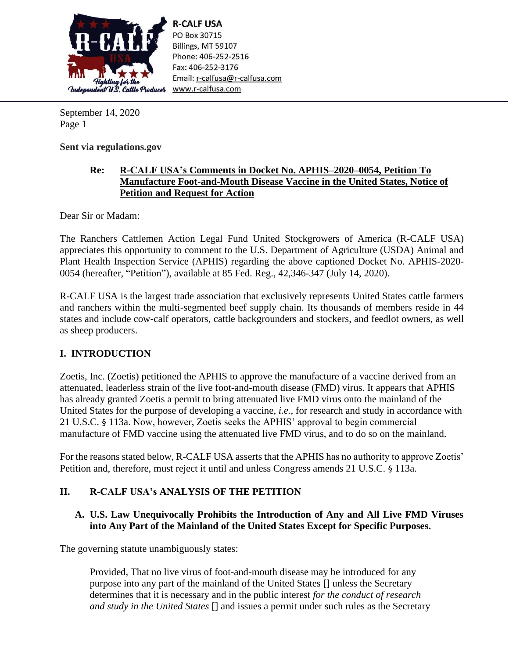

**R-CALF USA** PO Box 30715 Billings, MT 59107 Phone: 406-252-2516 Fax: 406-252-3176 Email: r-calfusa@r-calfusa.com www.r-calfusa.com

September 14, 2020 Page 1

**Sent via regulations.gov**

## **Re: R-CALF USA's Comments in Docket No. APHIS–2020–0054, Petition To Manufacture Foot-and-Mouth Disease Vaccine in the United States, Notice of Petition and Request for Action**

Dear Sir or Madam:

The Ranchers Cattlemen Action Legal Fund United Stockgrowers of America (R-CALF USA) appreciates this opportunity to comment to the U.S. Department of Agriculture (USDA) Animal and Plant Health Inspection Service (APHIS) regarding the above captioned Docket No. APHIS-2020- 0054 (hereafter, "Petition"), available at 85 Fed. Reg., 42,346-347 (July 14, 2020).

R-CALF USA is the largest trade association that exclusively represents United States cattle farmers and ranchers within the multi-segmented beef supply chain. Its thousands of members reside in 44 states and include cow-calf operators, cattle backgrounders and stockers, and feedlot owners, as well as sheep producers.

## **I. INTRODUCTION**

Zoetis, Inc. (Zoetis) petitioned the APHIS to approve the manufacture of a vaccine derived from an attenuated, leaderless strain of the live foot-and-mouth disease (FMD) virus. It appears that APHIS has already granted Zoetis a permit to bring attenuated live FMD virus onto the mainland of the United States for the purpose of developing a vaccine, *i.e.*, for research and study in accordance with 21 U.S.C. § 113a. Now, however, Zoetis seeks the APHIS' approval to begin commercial manufacture of FMD vaccine using the attenuated live FMD virus, and to do so on the mainland.

For the reasons stated below, R-CALF USA asserts that the APHIS has no authority to approve Zoetis' Petition and, therefore, must reject it until and unless Congress amends 21 U.S.C. § 113a.

## **II. R-CALF USA's ANALYSIS OF THE PETITION**

## **A. U.S. Law Unequivocally Prohibits the Introduction of Any and All Live FMD Viruses into Any Part of the Mainland of the United States Except for Specific Purposes.**

The governing statute unambiguously states:

Provided, That no live virus of foot-and-mouth disease may be introduced for any purpose into any part of the mainland of the United States [] unless the Secretary determines that it is necessary and in the public interest *for the conduct of research and study in the United States* [] and issues a permit under such rules as the Secretary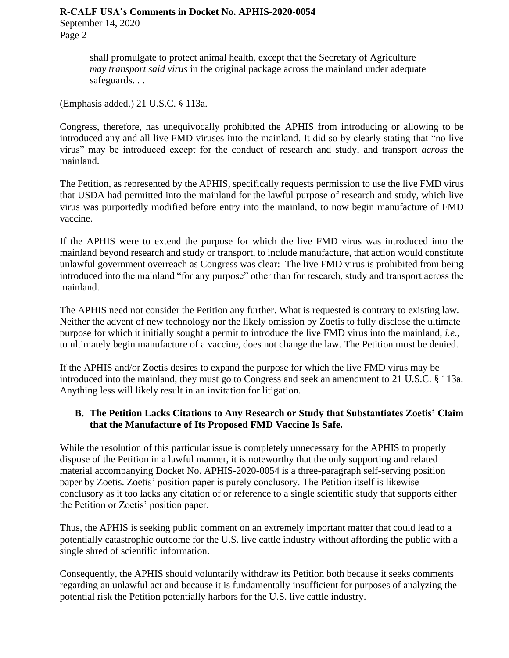#### **R-CALF USA's Comments in Docket No. APHIS-2020-0054**

September 14, 2020 Page 2

> shall promulgate to protect animal health, except that the Secretary of Agriculture *may transport said virus* in the original package across the mainland under adequate safeguards. . .

(Emphasis added.) 21 U.S.C. § 113a.

Congress, therefore, has unequivocally prohibited the APHIS from introducing or allowing to be introduced any and all live FMD viruses into the mainland. It did so by clearly stating that "no live virus" may be introduced except for the conduct of research and study, and transport *across* the mainland.

The Petition, as represented by the APHIS, specifically requests permission to use the live FMD virus that USDA had permitted into the mainland for the lawful purpose of research and study, which live virus was purportedly modified before entry into the mainland, to now begin manufacture of FMD vaccine.

If the APHIS were to extend the purpose for which the live FMD virus was introduced into the mainland beyond research and study or transport, to include manufacture, that action would constitute unlawful government overreach as Congress was clear: The live FMD virus is prohibited from being introduced into the mainland "for any purpose" other than for research, study and transport across the mainland.

The APHIS need not consider the Petition any further. What is requested is contrary to existing law. Neither the advent of new technology nor the likely omission by Zoetis to fully disclose the ultimate purpose for which it initially sought a permit to introduce the live FMD virus into the mainland, *i.e*., to ultimately begin manufacture of a vaccine, does not change the law. The Petition must be denied.

If the APHIS and/or Zoetis desires to expand the purpose for which the live FMD virus may be introduced into the mainland, they must go to Congress and seek an amendment to 21 U.S.C. § 113a. Anything less will likely result in an invitation for litigation.

### **B. The Petition Lacks Citations to Any Research or Study that Substantiates Zoetis' Claim that the Manufacture of Its Proposed FMD Vaccine Is Safe.**

While the resolution of this particular issue is completely unnecessary for the APHIS to properly dispose of the Petition in a lawful manner, it is noteworthy that the only supporting and related material accompanying Docket No. APHIS-2020-0054 is a three-paragraph self-serving position paper by Zoetis. Zoetis' position paper is purely conclusory. The Petition itself is likewise conclusory as it too lacks any citation of or reference to a single scientific study that supports either the Petition or Zoetis' position paper.

Thus, the APHIS is seeking public comment on an extremely important matter that could lead to a potentially catastrophic outcome for the U.S. live cattle industry without affording the public with a single shred of scientific information.

Consequently, the APHIS should voluntarily withdraw its Petition both because it seeks comments regarding an unlawful act and because it is fundamentally insufficient for purposes of analyzing the potential risk the Petition potentially harbors for the U.S. live cattle industry.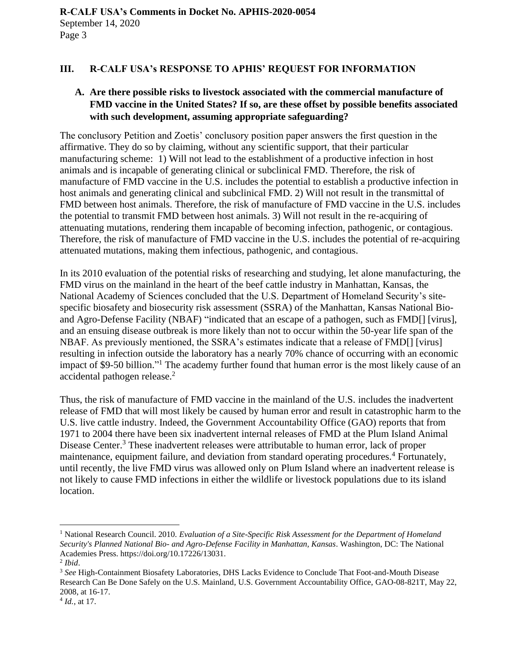#### **III. R-CALF USA's RESPONSE TO APHIS' REQUEST FOR INFORMATION**

### **A. Are there possible risks to livestock associated with the commercial manufacture of FMD vaccine in the United States? If so, are these offset by possible benefits associated with such development, assuming appropriate safeguarding?**

The conclusory Petition and Zoetis' conclusory position paper answers the first question in the affirmative. They do so by claiming, without any scientific support, that their particular manufacturing scheme: 1) Will not lead to the establishment of a productive infection in host animals and is incapable of generating clinical or subclinical FMD. Therefore, the risk of manufacture of FMD vaccine in the U.S. includes the potential to establish a productive infection in host animals and generating clinical and subclinical FMD. 2) Will not result in the transmittal of FMD between host animals. Therefore, the risk of manufacture of FMD vaccine in the U.S. includes the potential to transmit FMD between host animals. 3) Will not result in the re-acquiring of attenuating mutations, rendering them incapable of becoming infection, pathogenic, or contagious. Therefore, the risk of manufacture of FMD vaccine in the U.S. includes the potential of re-acquiring attenuated mutations, making them infectious, pathogenic, and contagious.

In its 2010 evaluation of the potential risks of researching and studying, let alone manufacturing, the FMD virus on the mainland in the heart of the beef cattle industry in Manhattan, Kansas, the National Academy of Sciences concluded that the U.S. Department of Homeland Security's sitespecific biosafety and biosecurity risk assessment (SSRA) of the Manhattan, Kansas National Bioand Agro-Defense Facility (NBAF) "indicated that an escape of a pathogen, such as FMD[] [virus], and an ensuing disease outbreak is more likely than not to occur within the 50-year life span of the NBAF. As previously mentioned, the SSRA's estimates indicate that a release of FMD[] [virus] resulting in infection outside the laboratory has a nearly 70% chance of occurring with an economic impact of \$9-50 billion."<sup>1</sup> The academy further found that human error is the most likely cause of an accidental pathogen release. 2

Thus, the risk of manufacture of FMD vaccine in the mainland of the U.S. includes the inadvertent release of FMD that will most likely be caused by human error and result in catastrophic harm to the U.S. live cattle industry. Indeed, the Government Accountability Office (GAO) reports that from 1971 to 2004 there have been six inadvertent internal releases of FMD at the Plum Island Animal Disease Center.<sup>3</sup> These inadvertent releases were attributable to human error, lack of proper maintenance, equipment failure, and deviation from standard operating procedures.<sup>4</sup> Fortunately, until recently, the live FMD virus was allowed only on Plum Island where an inadvertent release is not likely to cause FMD infections in either the wildlife or livestock populations due to its island location.

<sup>1</sup> National Research Council. 2010. *Evaluation of a Site-Specific Risk Assessment for the Department of Homeland Security's Planned National Bio- and Agro-Defense Facility in Manhattan, Kansas*. Washington, DC: The National Academies Press. https://doi.org/10.17226/13031.

<sup>2</sup> *Ibid*.

<sup>3</sup> *See* High-Containment Biosafety Laboratories, DHS Lacks Evidence to Conclude That Foot-and-Mouth Disease Research Can Be Done Safely on the U.S. Mainland, U.S. Government Accountability Office, GAO-08-821T, May 22, 2008, at 16-17.

<sup>4</sup> *Id.*, at 17.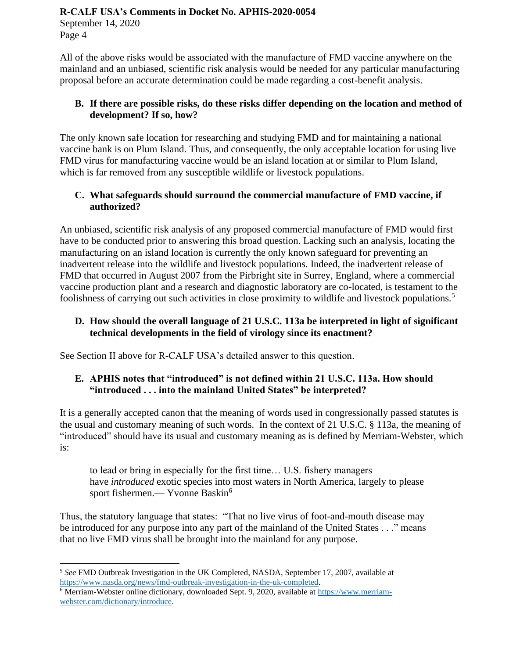#### **R-CALF USA's Comments in Docket No. APHIS-2020-0054**

September 14, 2020 Page 4

All of the above risks would be associated with the manufacture of FMD vaccine anywhere on the mainland and an unbiased, scientific risk analysis would be needed for any particular manufacturing proposal before an accurate determination could be made regarding a cost-benefit analysis.

## **B. If there are possible risks, do these risks differ depending on the location and method of development? If so, how?**

The only known safe location for researching and studying FMD and for maintaining a national vaccine bank is on Plum Island. Thus, and consequently, the only acceptable location for using live FMD virus for manufacturing vaccine would be an island location at or similar to Plum Island, which is far removed from any susceptible wildlife or livestock populations.

## **C. What safeguards should surround the commercial manufacture of FMD vaccine, if authorized?**

An unbiased, scientific risk analysis of any proposed commercial manufacture of FMD would first have to be conducted prior to answering this broad question. Lacking such an analysis, locating the manufacturing on an island location is currently the only known safeguard for preventing an inadvertent release into the wildlife and livestock populations. Indeed, the inadvertent release of FMD that occurred in August 2007 from the Pirbright site in Surrey, England, where a commercial vaccine production plant and a research and diagnostic laboratory are co-located, is testament to the foolishness of carrying out such activities in close proximity to wildlife and livestock populations.<sup>5</sup>

### **D. How should the overall language of 21 U.S.C. 113a be interpreted in light of significant technical developments in the field of virology since its enactment?**

See Section II above for R-CALF USA's detailed answer to this question.

## **E. APHIS notes that "introduced" is not defined within 21 U.S.C. 113a. How should "introduced . . . into the mainland United States" be interpreted?**

It is a generally accepted canon that the meaning of words used in congressionally passed statutes is the usual and customary meaning of such words. In the context of 21 U.S.C. § 113a, the meaning of "introduced" should have its usual and customary meaning as is defined by Merriam-Webster, which is:

to lead or bring in especially for the first time… U.S. fishery managers have *introduced* exotic species into most waters in North America, largely to please sport fishermen.— Yvonne Baskin<sup>6</sup>

Thus, the statutory language that states: "That no live virus of foot-and-mouth disease may be introduced for any purpose into any part of the mainland of the United States . . ." means that no live FMD virus shall be brought into the mainland for any purpose.

<sup>5</sup> *See* FMD Outbreak Investigation in the UK Completed, NASDA, September 17, 2007, available at [https://www.nasda.org/news/fmd-outbreak-investigation-in-the-uk-completed.](https://www.nasda.org/news/fmd-outbreak-investigation-in-the-uk-completed)

<sup>&</sup>lt;sup>6</sup> Merriam-Webster online dictionary, downloaded Sept. 9, 2020, available at [https://www.merriam](https://www.merriam-webster.com/dictionary/introduce)[webster.com/dictionary/introduce.](https://www.merriam-webster.com/dictionary/introduce)